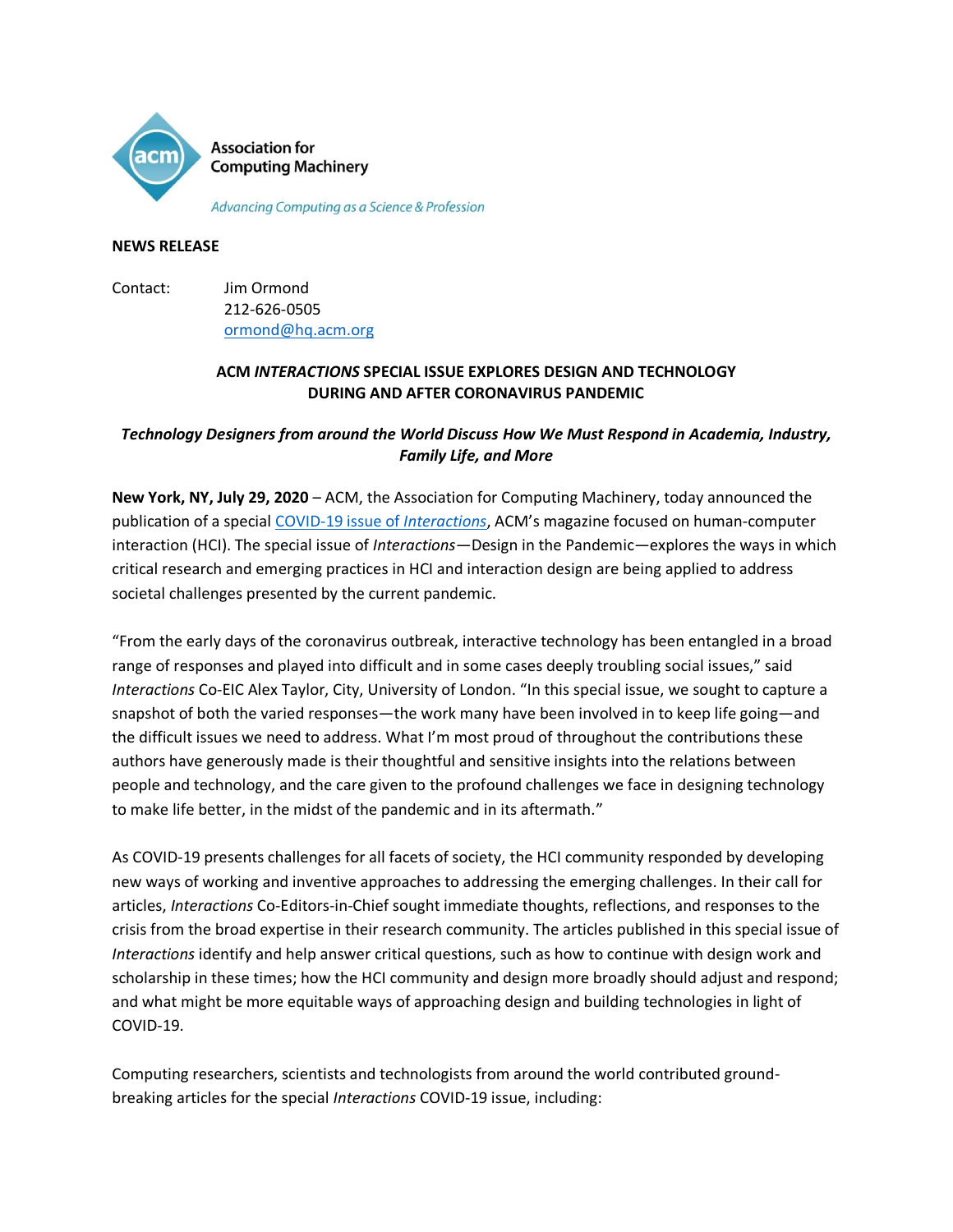

Advancing Computing as a Science & Profession

### **NEWS RELEASE**

Contact: Jim Ormond 212-626-0505 [ormond@hq.acm.org](mailto:ormond@hq.acm.org)

## **ACM** *INTERACTIONS* **SPECIAL ISSUE EXPLORES DESIGN AND TECHNOLOGY DURING AND AFTER CORONAVIRUS PANDEMIC**

# *Technology Designers from around the World Discuss How We Must Respond in Academia, Industry, Family Life, and More*

**New York, NY, July 29, 2020** – ACM, the Association for Computing Machinery, today announced the publication of a special [COVID-19 issue of](https://interactions.acm.org/archive/toc/july-august-2020) *Interactions*, ACM's magazine focused on human-computer interaction (HCI). The special issue of *Interactions*—Design in the Pandemic—explores the ways in which critical research and emerging practices in HCI and interaction design are being applied to address societal challenges presented by the current pandemic.

"From the early days of the coronavirus outbreak, interactive technology has been entangled in a broad range of responses and played into difficult and in some cases deeply troubling social issues," said *Interactions* Co-EIC Alex Taylor, City, University of London. "In this special issue, we sought to capture a snapshot of both the varied responses—the work many have been involved in to keep life going—and the difficult issues we need to address. What I'm most proud of throughout the contributions these authors have generously made is their thoughtful and sensitive insights into the relations between people and technology, and the care given to the profound challenges we face in designing technology to make life better, in the midst of the pandemic and in its aftermath."

As COVID-19 presents challenges for all facets of society, the HCI community responded by developing new ways of working and inventive approaches to addressing the emerging challenges. In their call for articles, *Interactions* Co-Editors-in-Chief sought immediate thoughts, reflections, and responses to the crisis from the broad expertise in their research community. The articles published in this special issue of *Interactions* identify and help answer critical questions, such as how to continue with design work and scholarship in these times; how the HCI community and design more broadly should adjust and respond; and what might be more equitable ways of approaching design and building technologies in light of COVID-19.

Computing researchers, scientists and technologists from around the world contributed groundbreaking articles for the special *Interactions* COVID-19 issue, including: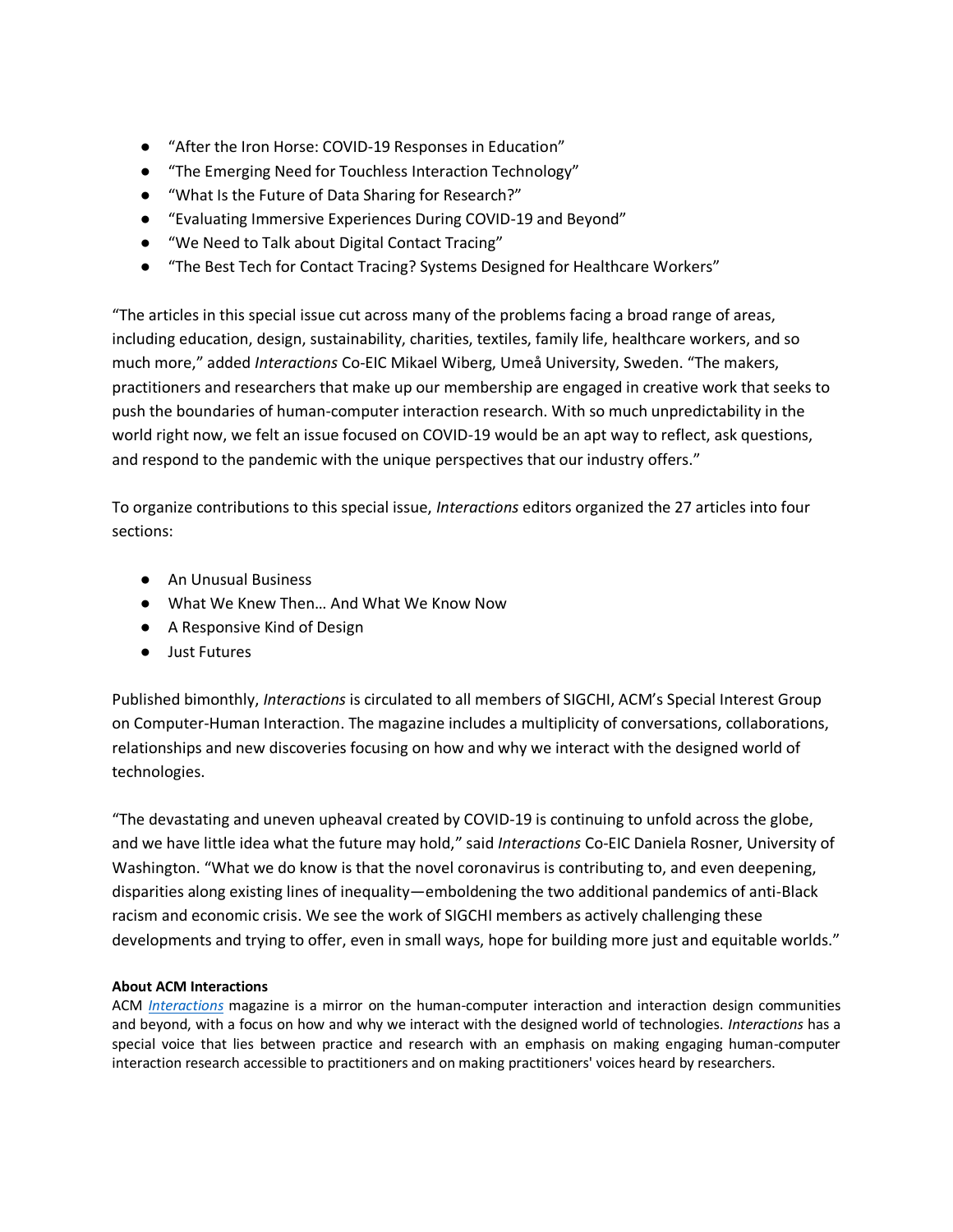- "After the Iron Horse: COVID-19 Responses in Education"
- "The Emerging Need for Touchless Interaction Technology"
- "What Is the Future of Data Sharing for Research?"
- "Evaluating Immersive Experiences During COVID-19 and Beyond"
- "We Need to Talk about Digital Contact Tracing"
- "The Best Tech for Contact Tracing? Systems Designed for Healthcare Workers"

"The articles in this special issue cut across many of the problems facing a broad range of areas, including education, design, sustainability, charities, textiles, family life, healthcare workers, and so much more," added *Interactions* Co-EIC Mikael Wiberg, Umeå University, Sweden. "The makers, practitioners and researchers that make up our membership are engaged in creative work that seeks to push the boundaries of human-computer interaction research. With so much unpredictability in the world right now, we felt an issue focused on COVID-19 would be an apt way to reflect, ask questions, and respond to the pandemic with the unique perspectives that our industry offers."

To organize contributions to this special issue, *Interactions* editors organized the 27 articles into four sections:

- An Unusual Business
- What We Knew Then... And What We Know Now
- A Responsive Kind of Design
- Just Futures

Published bimonthly, *Interactions* is circulated to all members of SIGCHI, ACM's Special Interest Group on Computer-Human Interaction. The magazine includes a multiplicity of conversations, collaborations, relationships and new discoveries focusing on how and why we interact with the designed world of technologies.

"The devastating and uneven upheaval created by COVID-19 is continuing to unfold across the globe, and we have little idea what the future may hold," said *Interactions* Co-EIC Daniela Rosner, University of Washington. "What we do know is that the novel coronavirus is contributing to, and even deepening, disparities along existing lines of inequality—emboldening the two additional pandemics of anti-Black racism and economic crisis. We see the work of SIGCHI members as actively challenging these developments and trying to offer, even in small ways, hope for building more just and equitable worlds."

### **About ACM Interactions**

ACM *[Interactions](https://interactions.acm.org/)* magazine is a mirror on the human-computer interaction and interaction design communities and beyond, with a focus on how and why we interact with the designed world of technologies. *Interactions* has a special voice that lies between practice and research with an emphasis on making engaging human-computer interaction research accessible to practitioners and on making practitioners' voices heard by researchers.